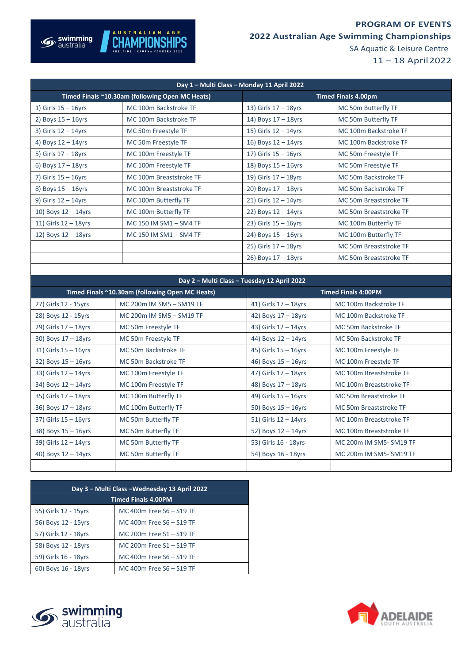## **PROGRAM OF EVENTS**



**2022 Australian Age Swimming Championships**

SA Aquatic & Leisure Centre

11 – 18 April2022

| Day 1 - Multi Class - Monday 11 April 2022      |                                                 |                                             |                            |  |  |
|-------------------------------------------------|-------------------------------------------------|---------------------------------------------|----------------------------|--|--|
| Timed Finals ~10.30am (following Open MC Heats) |                                                 | <b>Timed Finals 4.00pm</b>                  |                            |  |  |
| 1) Girls $15 - 16$ yrs                          | MC 100m Backstroke TF                           | 13) Girls $17 - 18$ yrs                     | MC 50m Butterfly TF        |  |  |
| 2) Boys $15 - 16$ yrs                           | MC 100m Backstroke TF                           | 14) Boys $17 - 18$ yrs                      | MC 50m Butterfly TF        |  |  |
| 3) Girls $12 - 14$ yrs                          | MC 50m Freestyle TF                             | 15) Girls $12 - 14$ yrs                     | MC 100m Backstroke TF      |  |  |
| 4) Boys $12 - 14$ yrs                           | MC 50m Freestyle TF                             | 16) Boys $12 - 14$ yrs                      | MC 100m Backstroke TF      |  |  |
| 5) Girls $17 - 18$ yrs                          | MC 100m Freestyle TF                            | 17) Girls $15 - 16$ yrs                     | MC 50m Freestyle TF        |  |  |
| 6) Boys $17 - 18$ yrs                           | MC 100m Freestyle TF                            | 18) Boys $15 - 16$ yrs                      | MC 50m Freestyle TF        |  |  |
| 7) Girls $15 - 16$ yrs                          | MC 100m Breaststroke TF                         | 19) Girls $17 - 18$ yrs                     | MC 50m Backstroke TF       |  |  |
| 8) Boys $15 - 16$ yrs                           | MC 100m Breaststroke TF                         | 20) Boys $17 - 18$ yrs                      | MC 50m Backstroke TF       |  |  |
| 9) Girls $12 - 14$ yrs                          | MC 100m Butterfly TF                            | $21)$ Girls $12 - 14$ yrs                   | MC 50m Breaststroke TF     |  |  |
| 10) Boys $12 - 14$ yrs                          | MC 100m Butterfly TF                            | 22) Boys $12 - 14$ yrs                      | MC 50m Breaststroke TF     |  |  |
| 11) Girls $12 - 18$ yrs                         | MC 150 IM SM1 - SM4 TF                          | 23) Girls $15 - 16$ yrs                     | MC 100m Butterfly TF       |  |  |
| 12) Boys $12 - 18$ yrs                          | MC 150 IM SM1 - SM4 TF                          | 24) Boys $15 - 16$ yrs                      | MC 100m Butterfly TF       |  |  |
|                                                 |                                                 | $25)$ Girls $17 - 18$ yrs                   | MC 50m Breaststroke TF     |  |  |
|                                                 |                                                 | 26) Boys $17 - 18$ yrs                      | MC 50m Breaststroke TF     |  |  |
|                                                 |                                                 |                                             |                            |  |  |
|                                                 |                                                 | Day 2 - Multi Class - Tuesday 12 April 2022 |                            |  |  |
|                                                 | Timed Finals ~10.30am (following Open MC Heats) |                                             | <b>Timed Finals 4:00PM</b> |  |  |
| 27) Girls 12 - 15yrs                            |                                                 |                                             |                            |  |  |
|                                                 | MC 200m IM SM5 - SM19 TF                        | 41) Girls $17 - 18$ yrs                     | MC 100m Backstroke TF      |  |  |
| 28) Boys 12 - 15yrs                             | MC 200m IM SM5 - SM19 TF                        | 42) Boys 17 - 18yrs                         | MC 100m Backstroke TF      |  |  |
| $29$ ) Girls $17 - 18$ yrs                      | MC 50m Freestyle TF                             | 43) Girls $12 - 14$ yrs                     | MC 50m Backstroke TF       |  |  |
| 30) Boys $17 - 18$ yrs                          | MC 50m Freestyle TF                             | 44) Boys 12 - 14yrs                         | MC 50m Backstroke TF       |  |  |
| $31)$ Girls $15 - 16$ yrs                       | MC 50m Backstroke TF                            | 45) Girls $15 - 16$ yrs                     | MC 100m Freestyle TF       |  |  |
| 32) Boys $15 - 16$ yrs                          | MC 50m Backstroke TF                            | 46) Boys $15 - 16$ yrs                      | MC 100m Freestyle TF       |  |  |
| 33) Girls 12 - 14yrs                            | MC 100m Freestyle TF                            | 47) Girls 17 - 18yrs                        | MC 100m Breaststroke TF    |  |  |
| 34) Boys $12 - 14$ yrs                          | MC 100m Freestyle TF                            | 48) Boys 17 - 18yrs                         | MC 100m Breaststroke TF    |  |  |
| $35)$ Girls $17 - 18$ yrs                       | MC 100m Butterfly TF                            | 49) Girls $15 - 16$ yrs                     | MC 50m Breaststroke TF     |  |  |
| 36) Boys $17 - 18$ yrs                          | MC 100m Butterfly TF                            | 50) Boys $15 - 16$ yrs                      | MC 50m Breaststroke TF     |  |  |
| $37$ ) Girls $15 - 16$ yrs                      | MC 50m Butterfly TF                             | 51) Girls $12 - 14$ yrs                     | MC 100m Breaststroke TF    |  |  |
| 38) Boys $15 - 16$ yrs                          | MC 50m Butterfly TF                             | 52) Boys $12 - 14$ yrs                      | MC 100m Breaststroke TF    |  |  |
| 39) Girls $12 - 14$ yrs                         | MC 50m Butterfly TF                             | 53) Girls 16 - 18yrs                        | MC 200m IM SM5- SM19 TF    |  |  |
| 40) Boys $12 - 14$ yrs                          | MC 50m Butterfly TF                             | 54) Boys 16 - 18yrs                         | MC 200m IM SM5-SM19 TF     |  |  |

| Day 3 – Multi Class – Wednesday 13 April 2022 |                          |  |  |  |  |
|-----------------------------------------------|--------------------------|--|--|--|--|
| <b>Timed Finals 4.00PM</b>                    |                          |  |  |  |  |
| 55) Girls 12 - 15yrs                          | MC 400m Free S6 - S19 TF |  |  |  |  |
| 56) Boys 12 - 15yrs                           | MC 400m Free S6 - S19 TF |  |  |  |  |
| 57) Girls 12 - 18yrs                          | MC 200m Free S1 - S19 TF |  |  |  |  |
| 58) Boys 12 - 18yrs                           | MC 200m Free S1 - S19 TF |  |  |  |  |
| 59) Girls 16 - 18yrs                          | MC 400m Free S6 - S19 TF |  |  |  |  |
| 60) Boys 16 - 18yrs                           | MC 400m Free S6 - S19 TF |  |  |  |  |



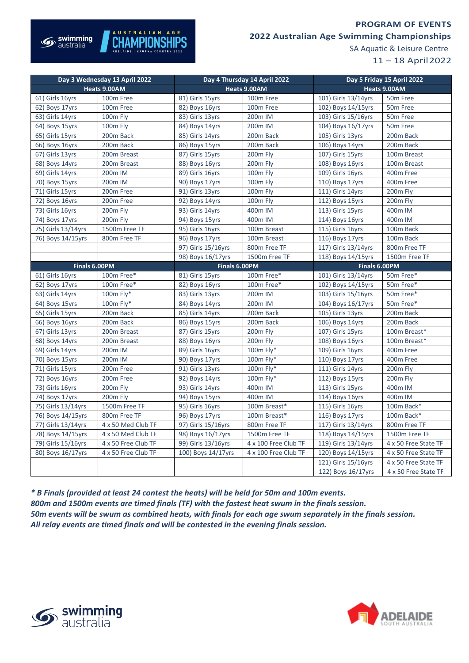## **PROGRAM OF EVENTS**



## **2022 Australian Age Swimming Championships**

SA Aquatic & Leisure Centre

11 – 18 April2022

| Day 3 Wednesday 13 April 2022 |                      | Day 4 Thursday 14 April 2022 |                      | Day 5 Friday 15 April 2022 |                      |
|-------------------------------|----------------------|------------------------------|----------------------|----------------------------|----------------------|
| Heats 9.00AM                  |                      | Heats 9.00AM                 |                      | Heats 9.00AM               |                      |
| 61) Girls 16yrs               | 100m Free            | 81) Girls 15yrs              | 100m Free            | 101) Girls 13/14yrs        | 50m Free             |
| 62) Boys 17yrs                | 100m Free            | 82) Boys 16yrs               | 100m Free            | 102) Boys 14/15yrs         | 50m Free             |
| 63) Girls 14yrs               | 100m Fly             | 83) Girls 13yrs              | 200m IM              | 103) Girls 15/16yrs        | 50m Free             |
| 64) Boys 15yrs                | 100m Fly             | 84) Boys 14yrs               | 200m IM              | 104) Boys 16/17yrs         | 50 <sub>m</sub> Free |
| 65) Girls 15yrs               | 200m Back            | 85) Girls 14yrs              | 200m Back            | 105) Girls 13yrs           | 200m Back            |
| 66) Boys 16yrs                | 200m Back            | 86) Boys 15yrs               | 200m Back            | 106) Boys 14yrs            | 200m Back            |
| 67) Girls 13yrs               | 200m Breast          | 87) Girls 15yrs              | 200m Fly             | 107) Girls 15yrs           | 100m Breast          |
| 68) Boys 14yrs                | 200m Breast          | 88) Boys 16yrs               | 200m Fly             | 108) Boys 16yrs            | 100m Breast          |
| 69) Girls 14yrs               | 200 <sub>m</sub> IM  | 89) Girls 16yrs              | 100m Fly             | 109) Girls 16yrs           | 400m Free            |
| 70) Boys 15yrs                | 200 <sub>m</sub> IM  | 90) Boys 17yrs               | <b>100m Flv</b>      | 110) Boys 17yrs            | 400m Free            |
| 71) Girls 15yrs               | 200m Free            | 91) Girls 13yrs              | 100m Fly             | 111) Girls 14yrs           | 200m Fly             |
| 72) Boys 16yrs                | 200m Free            | 92) Boys 14yrs               | 100m Fly             | 112) Boys 15yrs            | 200m Fly             |
| 73) Girls 16yrs               | 200m Fly             | 93) Girls 14yrs              | 400m IM              | 113) Girls 15yrs           | 400m IM              |
| 74) Boys 17yrs                | 200m Fly             | 94) Boys 15yrs               | 400m IM              | 114) Boys 16yrs            | 400m IM              |
| 75) Girls 13/14yrs            | 1500m Free TF        | 95) Girls 16yrs              | 100m Breast          | 115) Girls 16yrs           | 100m Back            |
| 76) Boys 14/15yrs             | 800m Free TF         | 96) Boys 17yrs               | 100m Breast          | 116) Boys 17yrs            | 100m Back            |
|                               |                      | 97) Girls 15/16yrs           | 800m Free TF         | 117) Girls 13/14yrs        | 800m Free TF         |
|                               |                      | 98) Boys 16/17yrs            | 1500m Free TF        | 118) Boys 14/15yrs         | 1500m Free TF        |
| Finals 6.00PM                 |                      | Finals 6.00PM                |                      | Finals 6.00PM              |                      |
| 61) Girls 16yrs               | 100m Free*           | 81) Girls 15yrs              | 100m Free*           | 101) Girls 13/14yrs        | 50m Free*            |
| 62) Boys 17yrs                | 100m Free*           | 82) Boys 16yrs               | 100m Free*           | 102) Boys 14/15yrs         | 50m Free*            |
| 63) Girls 14yrs               | 100m Fly*            | 83) Girls 13yrs              | 200m IM              | 103) Girls 15/16yrs        | 50m Free*            |
| 64) Boys 15yrs                | 100m Fly*            | 84) Boys 14yrs               | 200m IM              | 104) Boys 16/17yrs         | 50m Free*            |
| 65) Girls 15yrs               | 200m Back            | 85) Girls 14yrs              | 200m Back            | 105) Girls 13yrs           | 200m Back            |
| 66) Boys 16yrs                | 200m Back            | 86) Boys 15yrs               | 200m Back            | 106) Boys 14yrs            | 200m Back            |
| 67) Girls 13yrs               | 200m Breast          | 87) Girls 15yrs              | 200m Fly             | 107) Girls 15yrs           | 100m Breast*         |
| 68) Boys 14yrs                | 200m Breast          | 88) Boys 16yrs               | 200m Fly             | 108) Boys 16yrs            | 100m Breast*         |
| 69) Girls 14yrs               | 200m IM              | 89) Girls 16yrs              | 100m Fly*            | 109) Girls 16yrs           | 400m Free            |
| 70) Boys 15yrs                | 200 <sub>m</sub> IM  | 90) Boys 17yrs               | 100m Fly*            | 110) Boys 17yrs            | 400m Free            |
| 71) Girls 15yrs               | 200m Free            | 91) Girls 13yrs              | 100m Fly*            | 111) Girls 14yrs           | 200m Fly             |
| 72) Boys 16yrs                | 200m Free            | 92) Boys 14yrs               | 100m Fly*            | 112) Boys 15yrs            | 200m Fly             |
| 73) Girls 16yrs               | 200m Fly             | 93) Girls 14yrs              | 400m IM              | 113) Girls 15yrs           | 400m IM              |
| 74) Boys 17yrs                | 200 <sub>m</sub> Fly | 94) Boys 15yrs               | 400m IM              | 114) Boys 16yrs            | 400m IM              |
| 75) Girls 13/14yrs            | 1500m Free TF        | 95) Girls 16yrs              | 100m Breast*         | $115)$ Girls 16yrs         | 100m Back*           |
| 76) Boys 14/15yrs             | 800m Free TF         | 96) Boys 17yrs               | 100m Breast*         | 116) Boys 17yrs            | 100m Back*           |
| 77) Girls 13/14yrs            | 4 x 50 Med Club TF   | 97) Girls 15/16yrs           | 800m Free TF         | 117) Girls 13/14yrs        | 800m Free TF         |
| 78) Boys 14/15yrs             | 4 x 50 Med Club TF   | 98) Boys 16/17yrs            | 1500m Free TF        | 118) Boys 14/15yrs         | 1500m Free TF        |
| 79) Girls 15/16yrs            | 4 x 50 Free Club TF  | 99) Girls 13/16yrs           | 4 x 100 Free Club TF | 119) Girls 13/14yrs        | 4 x 50 Free State TF |
| 80) Boys 16/17yrs             | 4 x 50 Free Club TF  | 100) Boys 14/17yrs           | 4 x 100 Free Club TF | 120) Boys 14/15yrs         | 4 x 50 Free State TF |
|                               |                      |                              |                      | 121) Girls 15/16yrs        | 4 x 50 Free State TF |
|                               |                      |                              |                      | 122) Boys 16/17yrs         | 4 x 50 Free State TF |

*\* B Finals (provided at least 24 contest the heats) will be held for 50m and 100m events. 800m and 1500m events are timed finals (TF) with the fastest heat swum in the finals session. 50m events will be swum as combined heats, with finals for each age swum separately in the finals session. All relay events are timed finals and will be contested in the evening finals session.*